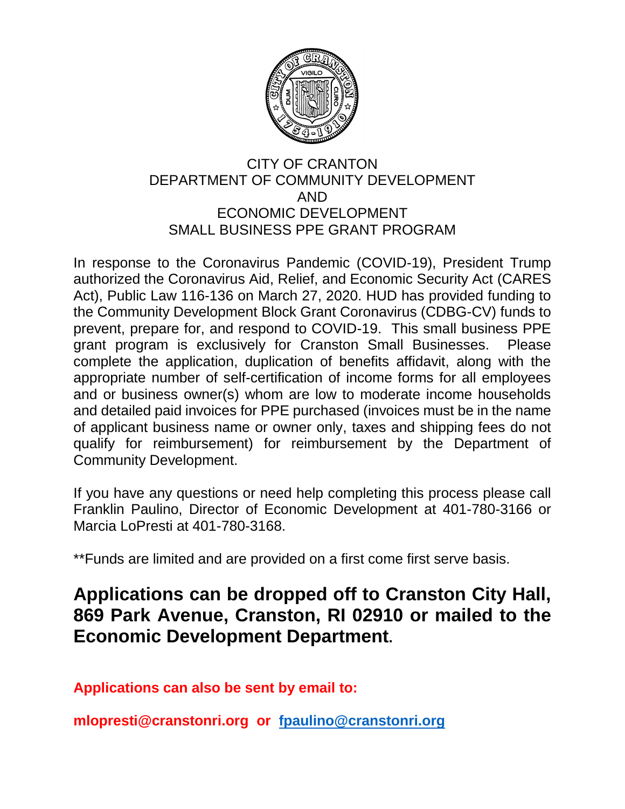

### CITY OF CRANTON DEPARTMENT OF COMMUNITY DEVELOPMENT AND ECONOMIC DEVELOPMENT SMALL BUSINESS PPE GRANT PROGRAM

In response to the Coronavirus Pandemic (COVID-19), President Trump authorized the Coronavirus Aid, Relief, and Economic Security Act (CARES Act), Public Law 116-136 on March 27, 2020. HUD has provided funding to the Community Development Block Grant Coronavirus (CDBG-CV) funds to prevent, prepare for, and respond to COVID-19. This small business PPE grant program is exclusively for Cranston Small Businesses. Please complete the application, duplication of benefits affidavit, along with the appropriate number of self-certification of income forms for all employees and or business owner(s) whom are low to moderate income households and detailed paid invoices for PPE purchased (invoices must be in the name of applicant business name or owner only, taxes and shipping fees do not qualify for reimbursement) for reimbursement by the Department of Community Development.

If you have any questions or need help completing this process please call Franklin Paulino, Director of Economic Development at 401-780-3166 or Marcia LoPresti at 401-780-3168.

\*\*Funds are limited and are provided on a first come first serve basis.

# **Applications can be dropped off to Cranston City Hall, 869 Park Avenue, Cranston, RI 02910 or mailed to the Economic Development Department.**

**Applications can also be sent by email to:** 

**mlopresti@cranstonri.org or [fpaulino@cranstonri.org](mailto:ldiboni@cranstonri.org)**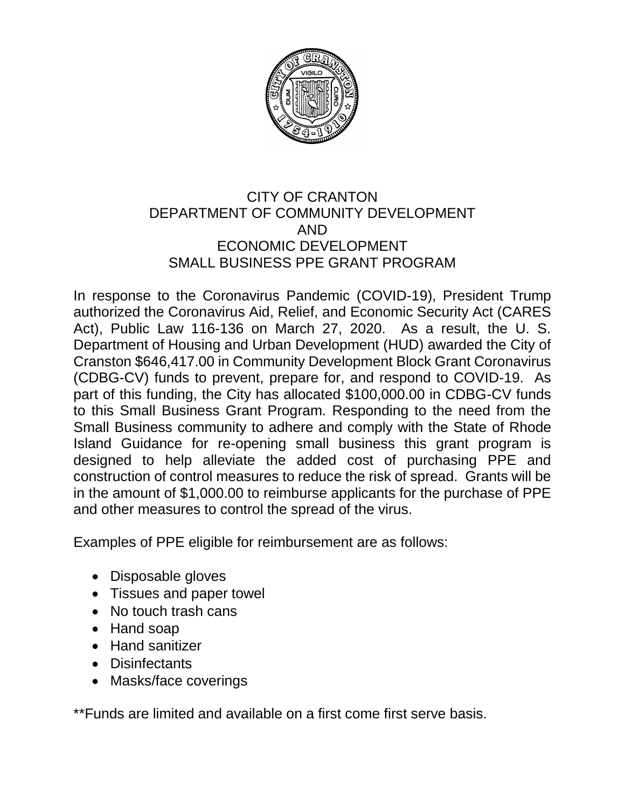

## CITY OF CRANTON DEPARTMENT OF COMMUNITY DEVELOPMENT AND ECONOMIC DEVELOPMENT SMALL BUSINESS PPE GRANT PROGRAM

In response to the Coronavirus Pandemic (COVID-19), President Trump authorized the Coronavirus Aid, Relief, and Economic Security Act (CARES Act), Public Law 116-136 on March 27, 2020. As a result, the U. S. Department of Housing and Urban Development (HUD) awarded the City of Cranston \$646,417.00 in Community Development Block Grant Coronavirus (CDBG-CV) funds to prevent, prepare for, and respond to COVID-19. As part of this funding, the City has allocated \$100,000.00 in CDBG-CV funds to this Small Business Grant Program. Responding to the need from the Small Business community to adhere and comply with the State of Rhode Island Guidance for re-opening small business this grant program is designed to help alleviate the added cost of purchasing PPE and construction of control measures to reduce the risk of spread. Grants will be in the amount of \$1,000.00 to reimburse applicants for the purchase of PPE and other measures to control the spread of the virus.

Examples of PPE eligible for reimbursement are as follows:

- Disposable gloves
- Tissues and paper towel
- No touch trash cans
- Hand soap
- Hand sanitizer
- Disinfectants
- Masks/face coverings

\*\*Funds are limited and available on a first come first serve basis.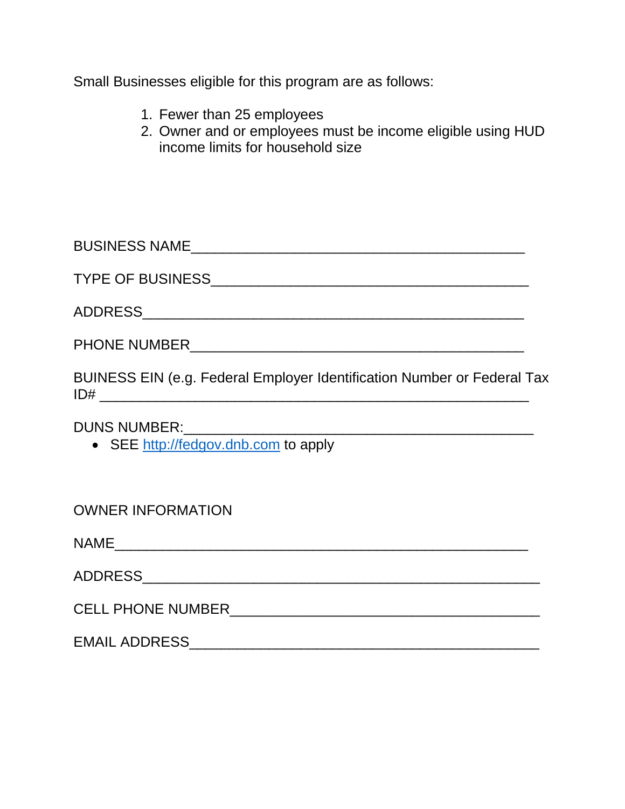Small Businesses eligible for this program are as follows:

- 1. Fewer than 25 employees
- 2. Owner and or employees must be income eligible using HUD income limits for household size

| <b>BUSINESS NAME</b> |  |
|----------------------|--|
|                      |  |

TYPE OF BUSINESS\_\_\_\_\_\_\_\_\_\_\_\_\_\_\_\_\_\_\_\_\_\_\_\_\_\_\_\_\_\_\_\_\_\_\_\_\_\_\_\_

ADDRESS\_\_\_\_\_\_\_\_\_\_\_\_\_\_\_\_\_\_\_\_\_\_\_\_\_\_\_\_\_\_\_\_\_\_\_\_\_\_\_\_\_\_\_\_\_\_\_\_

PHONE NUMBER\_\_\_\_\_\_\_\_\_\_\_\_\_\_\_\_\_\_\_\_\_\_\_\_\_\_\_\_\_\_\_\_\_\_\_\_\_\_\_\_\_\_

BUINESS EIN (e.g. Federal Employer Identification Number or Federal Tax  $ID#$ 

DUNS NUMBER:\_\_\_\_\_\_\_\_\_\_\_\_\_\_\_\_\_\_\_\_\_\_\_\_\_\_\_\_\_\_\_\_\_\_\_\_\_\_\_\_\_\_\_\_

• SEE [http://fedgov.dnb.com](http://fedgov.dnb.com/) to apply

OWNER INFORMATION

NAME\_\_\_\_\_\_\_\_\_\_\_\_\_\_\_\_\_\_\_\_\_\_\_\_\_\_\_\_\_\_\_\_\_\_\_\_\_\_\_\_\_\_\_\_\_\_\_\_\_\_\_\_

ADDRESS\_\_\_\_\_\_\_\_\_\_\_\_\_\_\_\_\_\_\_\_\_\_\_\_\_\_\_\_\_\_\_\_\_\_\_\_\_\_\_\_\_\_\_\_\_\_\_\_\_\_

CELL PHONE NUMBER\_\_\_\_\_\_\_\_\_\_\_\_\_\_\_\_\_\_\_\_\_\_\_\_\_\_\_\_\_\_\_\_\_\_\_\_\_\_\_

EMAIL ADDRESS\_\_\_\_\_\_\_\_\_\_\_\_\_\_\_\_\_\_\_\_\_\_\_\_\_\_\_\_\_\_\_\_\_\_\_\_\_\_\_\_\_\_\_\_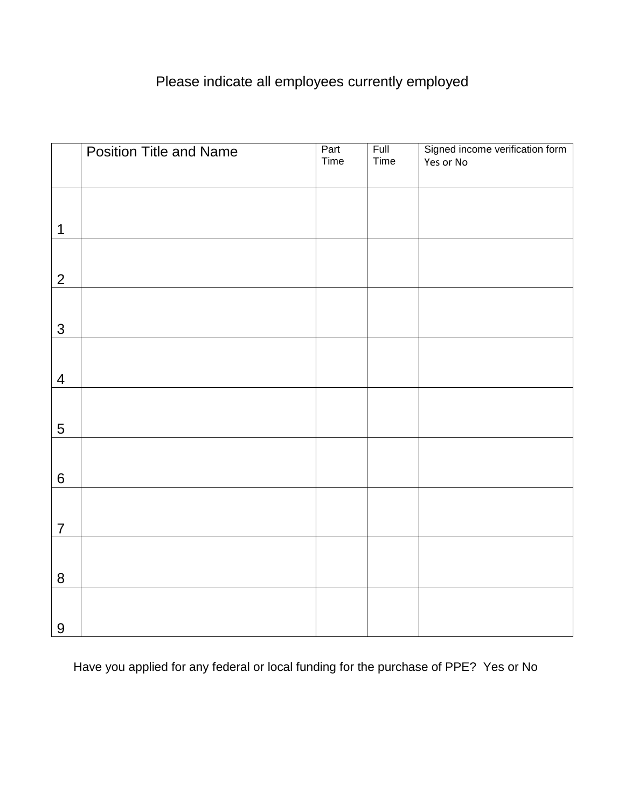# Please indicate all employees currently employed

|                  | <b>Position Title and Name</b> | Part<br>Time | Full<br>Time | Signed income verification form<br>Yes or No |
|------------------|--------------------------------|--------------|--------------|----------------------------------------------|
|                  |                                |              |              |                                              |
| 1                |                                |              |              |                                              |
| $\overline{2}$   |                                |              |              |                                              |
| $\mathfrak{S}$   |                                |              |              |                                              |
| $\overline{4}$   |                                |              |              |                                              |
| $\overline{5}$   |                                |              |              |                                              |
| $\,6\,$          |                                |              |              |                                              |
| $\overline{7}$   |                                |              |              |                                              |
| $\, 8$           |                                |              |              |                                              |
| $\boldsymbol{9}$ |                                |              |              |                                              |

Have you applied for any federal or local funding for the purchase of PPE? Yes or No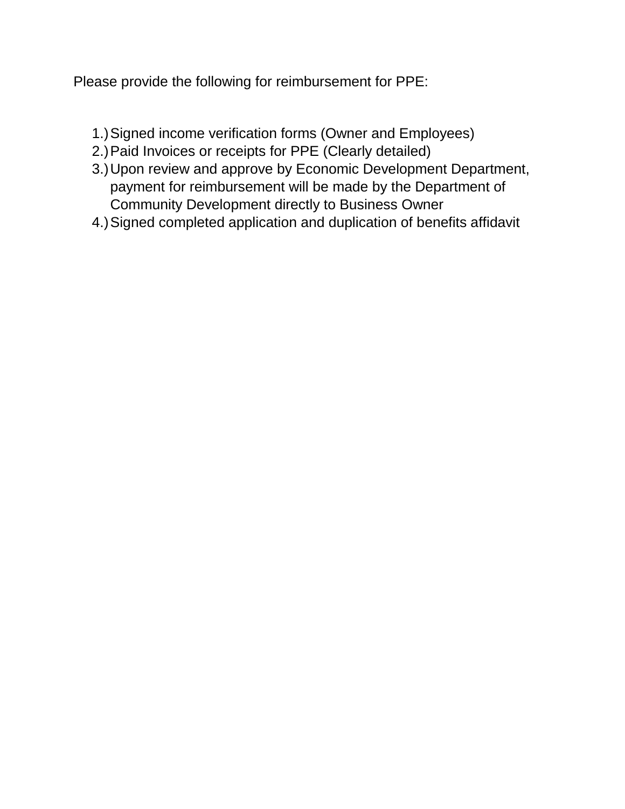Please provide the following for reimbursement for PPE:

- 1.)Signed income verification forms (Owner and Employees)
- 2.)Paid Invoices or receipts for PPE (Clearly detailed)
- 3.)Upon review and approve by Economic Development Department, payment for reimbursement will be made by the Department of Community Development directly to Business Owner
- 4.)Signed completed application and duplication of benefits affidavit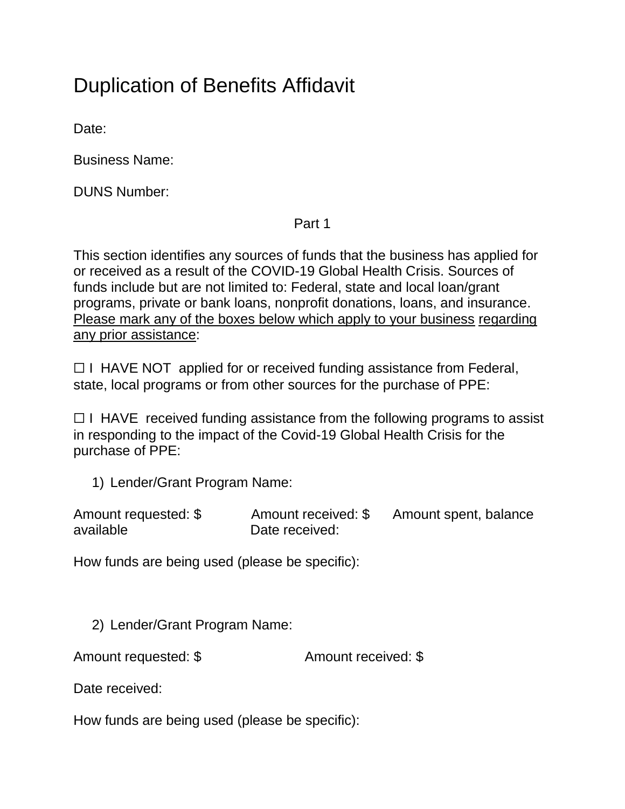# Duplication of Benefits Affidavit

Date:

Business Name:

DUNS Number:

Part 1

This section identifies any sources of funds that the business has applied for or received as a result of the COVID-19 Global Health Crisis. Sources of funds include but are not limited to: Federal, state and local loan/grant programs, private or bank loans, nonprofit donations, loans, and insurance. Please mark any of the boxes below which apply to your business regarding any prior assistance:

□ I HAVE NOT applied for or received funding assistance from Federal, state, local programs or from other sources for the purchase of PPE:

 $\Box$  I HAVE received funding assistance from the following programs to assist in responding to the impact of the Covid-19 Global Health Crisis for the purchase of PPE:

1) Lender/Grant Program Name:

| Amount requested: \$ | Amount received: \$ | Amount spent, balance |
|----------------------|---------------------|-----------------------|
| available            | Date received:      |                       |

How funds are being used (please be specific):

2) Lender/Grant Program Name:

Amount requested: \$ Amount received: \$

Date received:

How funds are being used (please be specific):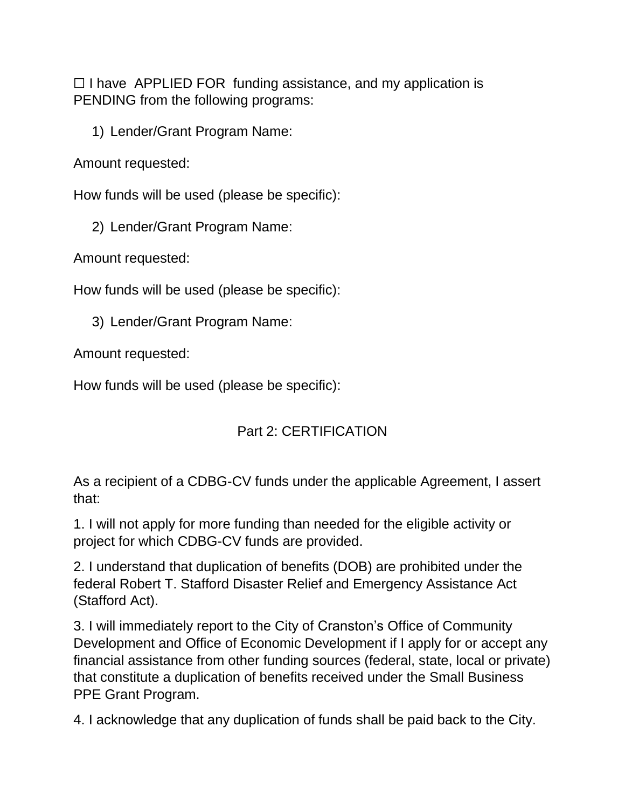$\Box$  I have APPLIED FOR funding assistance, and my application is PENDING from the following programs:

1) Lender/Grant Program Name:

Amount requested:

How funds will be used (please be specific):

2) Lender/Grant Program Name:

Amount requested:

How funds will be used (please be specific):

3) Lender/Grant Program Name:

Amount requested:

How funds will be used (please be specific):

## Part 2: CERTIFICATION

As a recipient of a CDBG-CV funds under the applicable Agreement, I assert that:

1. I will not apply for more funding than needed for the eligible activity or project for which CDBG-CV funds are provided.

2. I understand that duplication of benefits (DOB) are prohibited under the federal Robert T. Stafford Disaster Relief and Emergency Assistance Act (Stafford Act).

3. I will immediately report to the City of Cranston's Office of Community Development and Office of Economic Development if I apply for or accept any financial assistance from other funding sources (federal, state, local or private) that constitute a duplication of benefits received under the Small Business PPE Grant Program.

4. I acknowledge that any duplication of funds shall be paid back to the City.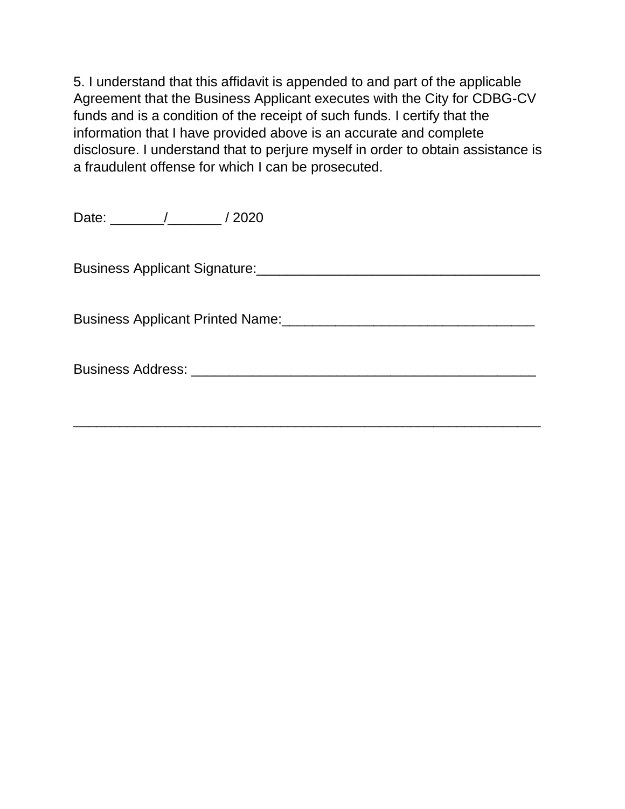5. I understand that this affidavit is appended to and part of the applicable Agreement that the Business Applicant executes with the City for CDBG-CV funds and is a condition of the receipt of such funds. I certify that the information that I have provided above is an accurate and complete disclosure. I understand that to perjure myself in order to obtain assistance is a fraudulent offense for which I can be prosecuted.

Date: \_\_\_\_\_\_\_/\_\_\_\_\_\_\_ / 2020

Business Applicant Signature:\_\_\_\_\_\_\_\_\_\_\_\_\_\_\_\_\_\_\_\_\_\_\_\_\_\_\_\_\_\_\_\_\_\_\_\_\_

Business Applicant Printed Name:\_\_\_\_\_\_\_\_\_\_\_\_\_\_\_\_\_\_\_\_\_\_\_\_\_\_\_\_\_\_\_\_\_

Business Address: \_\_\_\_\_\_\_\_\_\_\_\_\_\_\_\_\_\_\_\_\_\_\_\_\_\_\_\_\_\_\_\_\_\_\_\_\_\_\_\_\_\_\_\_\_

\_\_\_\_\_\_\_\_\_\_\_\_\_\_\_\_\_\_\_\_\_\_\_\_\_\_\_\_\_\_\_\_\_\_\_\_\_\_\_\_\_\_\_\_\_\_\_\_\_\_\_\_\_\_\_\_\_\_\_\_\_